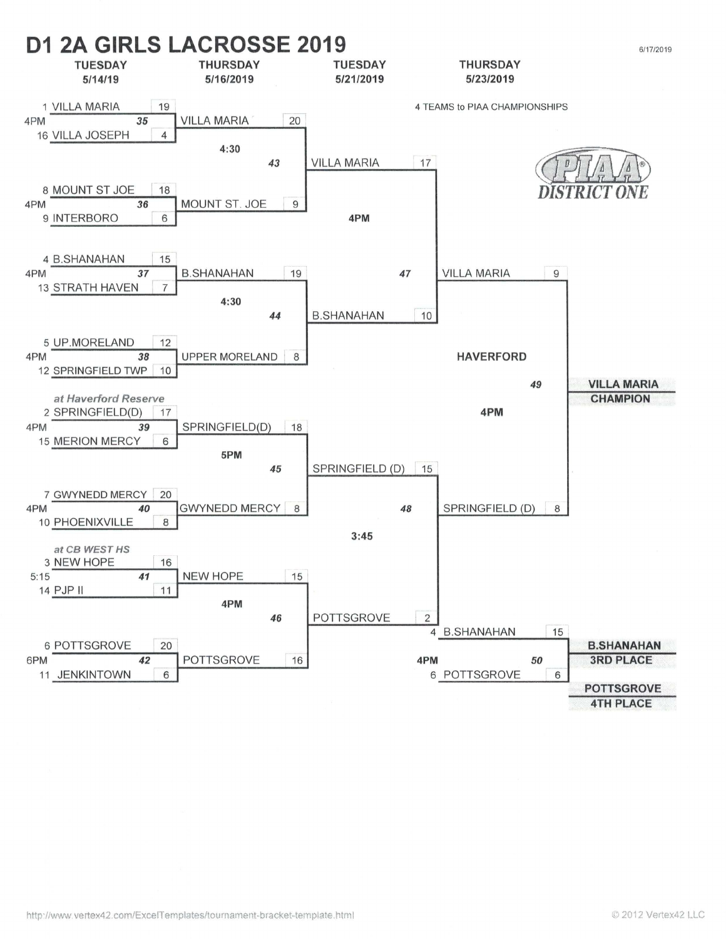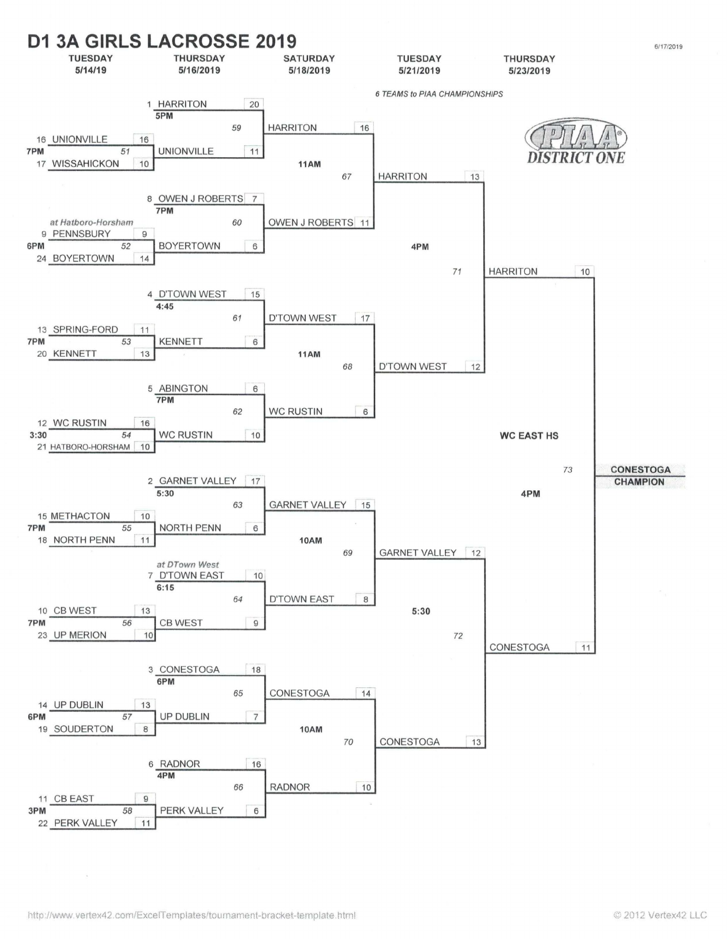![](_page_1_Figure_0.jpeg)